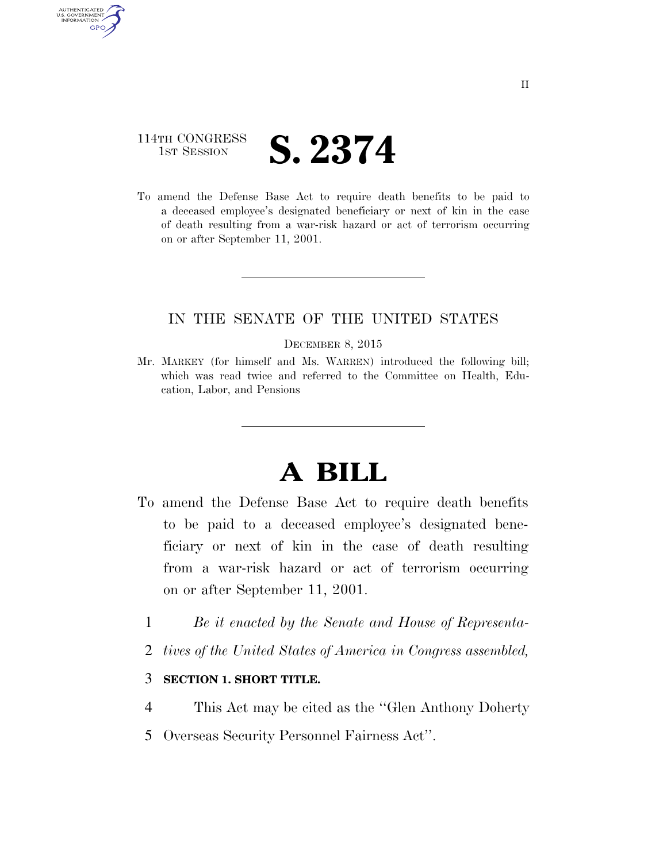# 114TH CONGRESS **1ST SESSION S. 2374**

AUTHENTICATED U.S. GOVERNMENT **GPO** 

> To amend the Defense Base Act to require death benefits to be paid to a deceased employee's designated beneficiary or next of kin in the case of death resulting from a war-risk hazard or act of terrorism occurring on or after September 11, 2001.

## IN THE SENATE OF THE UNITED STATES

#### DECEMBER 8, 2015

Mr. MARKEY (for himself and Ms. WARREN) introduced the following bill; which was read twice and referred to the Committee on Health, Education, Labor, and Pensions

# **A BILL**

- To amend the Defense Base Act to require death benefits to be paid to a deceased employee's designated beneficiary or next of kin in the case of death resulting from a war-risk hazard or act of terrorism occurring on or after September 11, 2001.
	- 1 *Be it enacted by the Senate and House of Representa-*
	- 2 *tives of the United States of America in Congress assembled,*

### 3 **SECTION 1. SHORT TITLE.**

- 4 This Act may be cited as the ''Glen Anthony Doherty
- 5 Overseas Security Personnel Fairness Act''.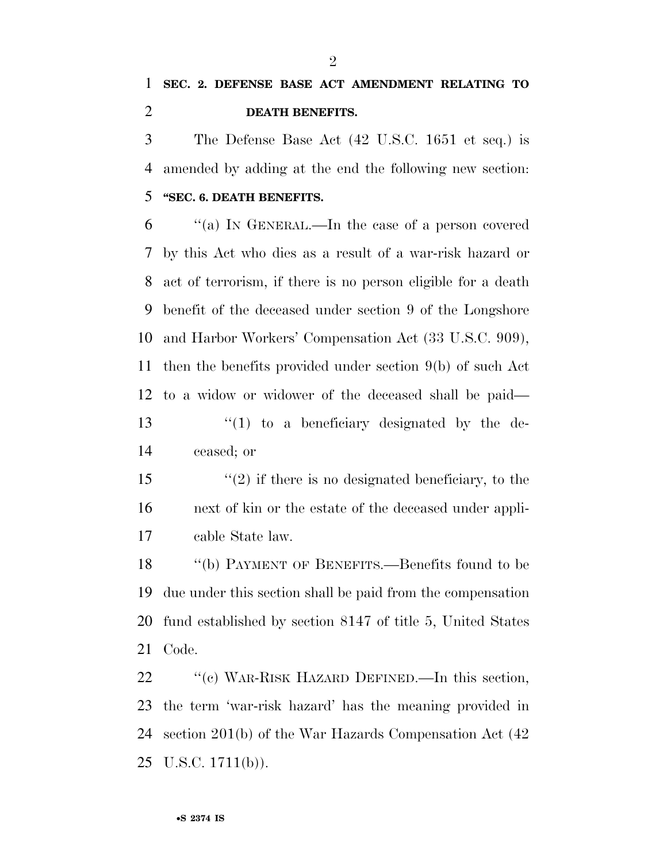The Defense Base Act (42 U.S.C. 1651 et seq.) is amended by adding at the end the following new section: **''SEC. 6. DEATH BENEFITS.** 

 ''(a) IN GENERAL.—In the case of a person covered by this Act who dies as a result of a war-risk hazard or act of terrorism, if there is no person eligible for a death benefit of the deceased under section 9 of the Longshore and Harbor Workers' Compensation Act (33 U.S.C. 909), then the benefits provided under section 9(b) of such Act to a widow or widower of the deceased shall be paid— ''(1) to a beneficiary designated by the de-

ceased; or

15  $\frac{1}{2}$  if there is no designated beneficiary, to the next of kin or the estate of the deceased under appli-cable State law.

 ''(b) PAYMENT OF BENEFITS.—Benefits found to be due under this section shall be paid from the compensation fund established by section 8147 of title 5, United States Code.

22 "'(c) WAR-RISK HAZARD DEFINED.—In this section, the term 'war-risk hazard' has the meaning provided in section 201(b) of the War Hazards Compensation Act (42 U.S.C.  $1711(b)$ ).